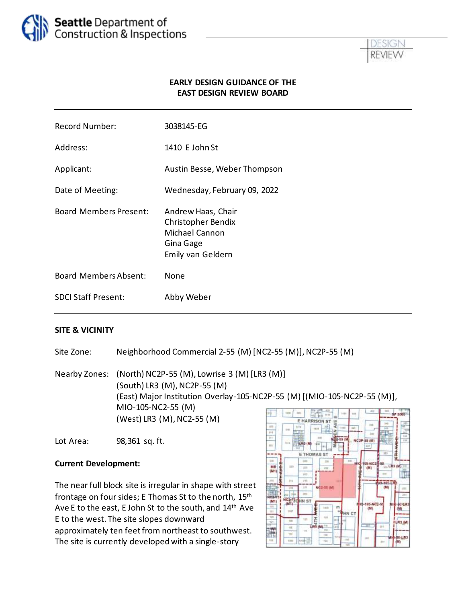



#### **EARLY DESIGN GUIDANCE OF THE EAST DESIGN REVIEW BOARD**

| <b>Record Number:</b>         | 3038145-EG                                                                                   |
|-------------------------------|----------------------------------------------------------------------------------------------|
| Address:                      | 1410 E John St                                                                               |
| Applicant:                    | Austin Besse, Weber Thompson                                                                 |
| Date of Meeting:              | Wednesday, February 09, 2022                                                                 |
| <b>Board Members Present:</b> | Andrew Haas, Chair<br>Christopher Bendix<br>Michael Cannon<br>Gina Gage<br>Emily van Geldern |
| <b>Board Members Absent:</b>  | None                                                                                         |
| <b>SDCI Staff Present:</b>    | Abby Weber                                                                                   |
|                               |                                                                                              |

#### **SITE & VICINITY**

Site Zone: Neighborhood Commercial 2-55 (M) [NC2-55 (M)], NC2P-55 (M)

Nearby Zones: (North) NC2P-55 (M), Lowrise 3 (M) [LR3 (M)] (South) LR3 (M), NC2P-55 (M) (East) Major Institution Overlay-105-NC2P-55 (M) [(MIO-105-NC2P-55 (M)], MIO-105-NC2-55 (M) (West) LR3 (M), NC2-55 (M)

Lot Area: 98,361 sq. ft.

#### **Current Development:**

The near full block site is irregular in shape with street frontage on four sides; E Thomas St to the north, 15th Ave E to the east, E John St to the south, and 14<sup>th</sup> Ave E to the west. The site slopes downward approximately ten feet from northeast to southwest. The site is currently developed with a single-story

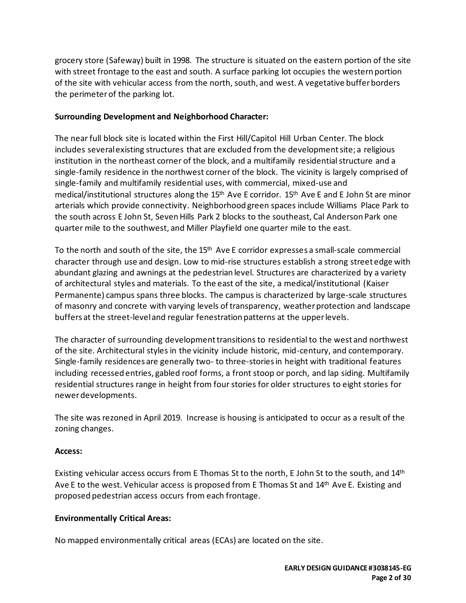grocery store (Safeway) built in 1998. The structure is situated on the eastern portion of the site with street frontage to the east and south. A surface parking lot occupies the western portion of the site with vehicular access from the north, south, and west. A vegetative buffer borders the perimeter of the parking lot.

### **Surrounding Development and Neighborhood Character:**

The near full block site is located within the First Hill/Capitol Hill Urban Center. The block includes several existing structures that are excluded from the development site; a religious institution in the northeast corner of the block, and a multifamily residential structure and a single-family residence in the northwest corner of the block. The vicinity is largely comprised of single-family and multifamily residential uses, with commercial, mixed-use and medical/institutional structures along the  $15<sup>th</sup>$  Ave E corridor.  $15<sup>th</sup>$  Ave E and E John St are minor arterials which provide connectivity. Neighborhood green spaces include Williams Place Park to the south across E John St, Seven Hills Park 2 blocks to the southeast, Cal Anderson Park one quarter mile to the southwest, and Miller Playfield one quarter mile to the east.

To the north and south of the site, the 15<sup>th</sup> Ave E corridor expresses a small-scale commercial character through use and design. Low to mid-rise structures establish a strong street edge with abundant glazing and awnings at the pedestrian level. Structures are characterized by a variety of architectural styles and materials. To the east of the site, a medical/institutional (Kaiser Permanente) campus spans three blocks. The campus is characterized by large-scale structures of masonry and concrete with varying levels of transparency, weather protection and landscape buffers at the street-level and regular fenestration patterns at the upper levels.

The character of surrounding development transitions to residential to the west and northwest of the site. Architectural styles in the vicinity include historic, mid-century, and contemporary. Single-family residences are generally two- to three-stories in height with traditional features including recessed entries, gabled roof forms, a front stoop or porch, and lap siding. Multifamily residential structures range in height from four stories for older structures to eight stories for newer developments.

The site was rezoned in April 2019. Increase is housing is anticipated to occur as a result of the zoning changes.

#### **Access:**

Existing vehicular access occurs from E Thomas St to the north, E John St to the south, and 14<sup>th</sup> Ave E to the west. Vehicular access is proposed from E Thomas St and 14<sup>th</sup> Ave E. Existing and proposed pedestrian access occurs from each frontage.

# **Environmentally Critical Areas:**

No mapped environmentally critical areas (ECAs) are located on the site.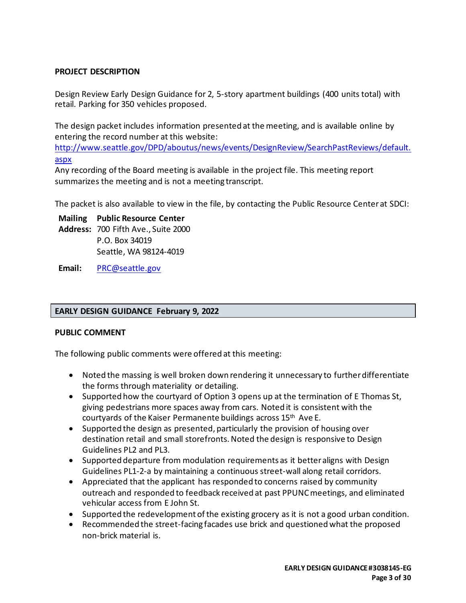### **PROJECT DESCRIPTION**

Design Review Early Design Guidance for 2, 5-story apartment buildings (400 units total) with retail. Parking for 350 vehicles proposed.

The design packet includes information presented at the meeting, and is available online by entering the record number at this website:

[http://www.seattle.gov/DPD/aboutus/news/events/DesignReview/SearchPastReviews/default.](http://www.seattle.gov/DPD/aboutus/news/events/DesignReview/SearchPastReviews/default.aspx) [aspx](http://www.seattle.gov/DPD/aboutus/news/events/DesignReview/SearchPastReviews/default.aspx)

Any recording of the Board meeting is available in the project file. This meeting report summarizes the meeting and is not a meeting transcript.

The packet is also available to view in the file, by contacting the Public Resource Center at SDCI:

**Mailing Public Resource Center Address:** 700 Fifth Ave., Suite 2000 P.O. Box 34019 Seattle, WA 98124-4019

**Email:** [PRC@seattle.gov](mailto:PRC@seattle.gov)

#### **EARLY DESIGN GUIDANCE February 9, 2022**

#### **PUBLIC COMMENT**

The following public comments were offered at this meeting:

- Noted the massing is well broken down rendering it unnecessary to further differentiate the forms through materiality or detailing.
- Supported how the courtyard of Option 3 opens up at the termination of E Thomas St, giving pedestrians more spaces away from cars. Noted it is consistent with the courtyards of the Kaiser Permanente buildings across 15<sup>th</sup> Ave E.
- Supported the design as presented, particularly the provision of housing over destination retail and small storefronts. Noted the design is responsive to Design Guidelines PL2 and PL3.
- Supported departure from modulation requirements as it better aligns with Design Guidelines PL1-2-a by maintaining a continuous street-wall along retail corridors.
- Appreciated that the applicant has responded to concerns raised by community outreach and responded to feedback received at past PPUNC meetings, and eliminated vehicular access from E John St.
- Supported the redevelopment of the existing grocery as it is not a good urban condition.
- Recommended the street-facing facades use brick and questioned what the proposed non-brick material is.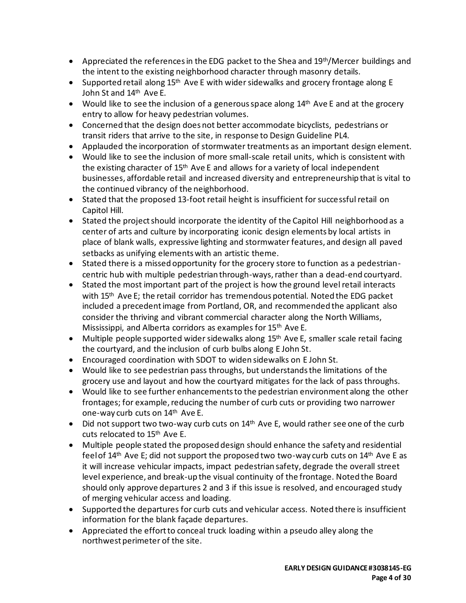- Appreciated the references in the EDG packet to the Shea and  $19<sup>th</sup>/Mercer$  buildings and the intent to the existing neighborhood character through masonry details.
- Supported retail along  $15<sup>th</sup>$  Ave E with wider sidewalks and grocery frontage along E John St and 14th Ave E.
- Would like to see the inclusion of a generous space along 14<sup>th</sup> Ave E and at the grocery entry to allow for heavy pedestrian volumes.
- Concerned that the design does not better accommodate bicyclists, pedestrians or transit riders that arrive to the site, in response to Design Guideline PL4.
- Applauded the incorporation of stormwater treatments as an important design element.
- Would like to see the inclusion of more small-scale retail units, which is consistent with the existing character of 15<sup>th</sup> Ave E and allows for a variety of local independent businesses, affordable retail and increased diversity and entrepreneurship that is vital to the continued vibrancy of the neighborhood.
- Stated that the proposed 13-foot retail height is insufficient for successful retail on Capitol Hill.
- Stated the project should incorporate the identity of the Capitol Hill neighborhood as a center of arts and culture by incorporating iconic design elements by local artists in place of blank walls, expressive lighting and stormwater features, and design all paved setbacks as unifying elements with an artistic theme.
- Stated there is a missed opportunity for the grocery store to function as a pedestriancentric hub with multiple pedestrian through-ways, rather than a dead-end courtyard.
- Stated the most important part of the project is how the ground level retail interacts with 15<sup>th</sup> Ave E; the retail corridor has tremendous potential. Noted the EDG packet included a precedent image from Portland, OR, and recommended the applicant also consider the thriving and vibrant commercial character along the North Williams, Mississippi, and Alberta corridors as examples for 15th Ave E.
- Multiple people supported wider sidewalks along  $15<sup>th</sup>$  Ave E, smaller scale retail facing the courtyard, and the inclusion of curb bulbs along E John St.
- Encouraged coordination with SDOT to widen sidewalks on E John St.
- Would like to see pedestrian pass throughs, but understands the limitations of the grocery use and layout and how the courtyard mitigates for the lack of pass throughs.
- Would like to see further enhancements to the pedestrian environment along the other frontages; for example, reducing the number of curb cuts or providing two narrower one-way curb cuts on 14th Ave E.
- Did not support two two-way curb cuts on  $14<sup>th</sup>$  Ave E, would rather see one of the curb cuts relocated to 15<sup>th</sup> Ave E.
- Multiple people stated the proposed design should enhance the safety and residential feel of  $14<sup>th</sup>$  Ave E; did not support the proposed two two-way curb cuts on  $14<sup>th</sup>$  Ave E as it will increase vehicular impacts, impact pedestrian safety, degrade the overall street level experience, and break-up the visual continuity of the frontage. Noted the Board should only approve departures 2 and 3 if this issue is resolved, and encouraged study of merging vehicular access and loading.
- Supported the departures for curb cuts and vehicular access. Noted there is insufficient information for the blank façade departures.
- Appreciated the effort to conceal truck loading within a pseudo alley along the northwest perimeter of the site.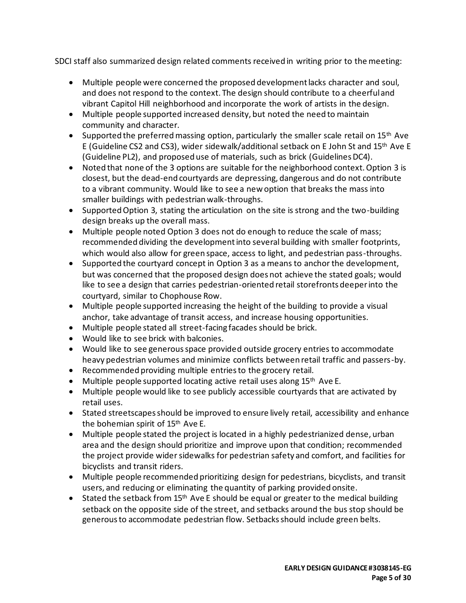SDCI staff also summarized design related comments received in writing prior to the meeting:

- Multiple people were concerned the proposed development lacks character and soul, and does not respond to the context. The design should contribute to a cheerful and vibrant Capitol Hill neighborhood and incorporate the work of artists in the design.
- Multiple people supported increased density, but noted the need to maintain community and character.
- Supported the preferred massing option, particularly the smaller scale retail on 15<sup>th</sup> Ave E (Guideline CS2 and CS3), wider sidewalk/additional setback on E John St and 15th Ave E (Guideline PL2), and proposed use of materials, such as brick (Guidelines DC4).
- Noted that none of the 3 options are suitable for the neighborhood context. Option 3 is closest, but the dead-end courtyards are depressing, dangerous and do not contribute to a vibrant community. Would like to see a new option that breaks the mass into smaller buildings with pedestrian walk-throughs.
- Supported Option 3, stating the articulation on the site is strong and the two-building design breaks up the overall mass.
- Multiple people noted Option 3 does not do enough to reduce the scale of mass; recommended dividing the development into several building with smaller footprints, which would also allow for green space, access to light, and pedestrian pass-throughs.
- Supported the courtyard concept in Option 3 as a means to anchor the development, but was concerned that the proposed design does not achieve the stated goals; would like to see a design that carries pedestrian-oriented retail storefronts deeper into the courtyard, similar to Chophouse Row.
- Multiple people supported increasing the height of the building to provide a visual anchor, take advantage of transit access, and increase housing opportunities.
- Multiple people stated all street-facing facades should be brick.
- Would like to see brick with balconies.
- Would like to see generous space provided outside grocery entries to accommodate heavy pedestrian volumes and minimize conflicts between retail traffic and passers-by.
- Recommended providing multiple entries to the grocery retail.
- Multiple people supported locating active retail uses along 15<sup>th</sup> Ave E.
- Multiple people would like to see publicly accessible courtyards that are activated by retail uses.
- Stated streetscapes should be improved to ensure lively retail, accessibility and enhance the bohemian spirit of 15<sup>th</sup> Ave E.
- Multiple people stated the project is located in a highly pedestrianized dense, urban area and the design should prioritize and improve upon that condition; recommended the project provide wider sidewalks for pedestrian safety and comfort, and facilities for bicyclists and transit riders.
- Multiple people recommended prioritizing design for pedestrians, bicyclists, and transit users, and reducing or eliminating the quantity of parking provided onsite.
- Stated the setback from 15<sup>th</sup> Ave E should be equal or greater to the medical building setback on the opposite side of the street, and setbacks around the bus stop should be generous to accommodate pedestrian flow. Setbacks should include green belts.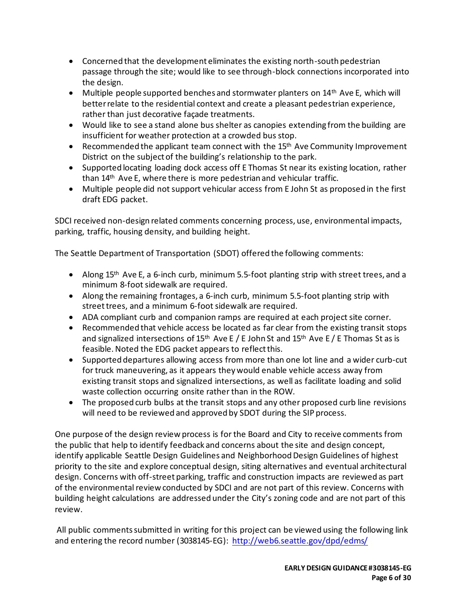- Concerned that the development eliminates the existing north-south pedestrian passage through the site; would like to see through-block connections incorporated into the design.
- Multiple people supported benches and stormwater planters on  $14<sup>th</sup>$  Ave E, which will better relate to the residential context and create a pleasant pedestrian experience, rather than just decorative façade treatments.
- Would like to see a stand alone bus shelter as canopies extending from the building are insufficient for weather protection at a crowded bus stop.
- Recommended the applicant team connect with the 15<sup>th</sup> Ave Community Improvement District on the subject of the building's relationship to the park.
- Supported locating loading dock access off E Thomas St near its existing location, rather than 14<sup>th</sup> Ave E, where there is more pedestrian and vehicular traffic.
- Multiple people did not support vehicular access from E John St as proposed in the first draft EDG packet.

SDCI received non-design related comments concerning process, use, environmental impacts, parking, traffic, housing density, and building height.

The Seattle Department of Transportation (SDOT) offered the following comments:

- Along  $15<sup>th</sup>$  Ave E, a 6-inch curb, minimum 5.5-foot planting strip with street trees, and a minimum 8-foot sidewalk are required.
- Along the remaining frontages, a 6-inch curb, minimum 5.5-foot planting strip with street trees, and a minimum 6-foot sidewalk are required.
- ADA compliant curb and companion ramps are required at each project site corner.
- Recommended that vehicle access be located as far clear from the existing transit stops and signalized intersections of 15<sup>th</sup> Ave E / E John St and 15<sup>th</sup> Ave E / E Thomas St as is feasible. Noted the EDG packet appears to reflect this.
- Supported departures allowing access from more than one lot line and a wider curb-cut for truck maneuvering, as it appears they would enable vehicle access away from existing transit stops and signalized intersections, as well as facilitate loading and solid waste collection occurring onsite rather than in the ROW.
- The proposed curb bulbs at the transit stops and any other proposed curb line revisions will need to be reviewed and approved by SDOT during the SIP process.

One purpose of the design review process is for the Board and City to receive comments from the public that help to identify feedback and concerns about the site and design concept, identify applicable Seattle Design Guidelines and Neighborhood Design Guidelines of highest priority to the site and explore conceptual design, siting alternatives and eventual architectural design. Concerns with off-street parking, traffic and construction impacts are reviewed as part of the environmental review conducted by SDCI and are not part of this review. Concerns with building height calculations are addressed under the City's zoning code and are not part of this review.

All public comments submitted in writing for this project can be viewed using the following link and entering the record number (3038145-EG):<http://web6.seattle.gov/dpd/edms/>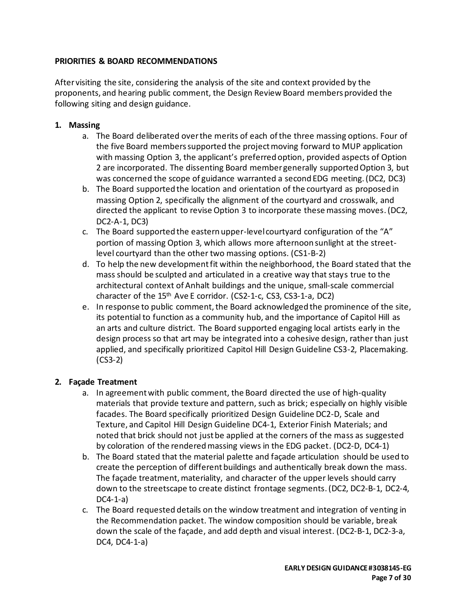# **PRIORITIES & BOARD RECOMMENDATIONS**

After visiting the site, considering the analysis of the site and context provided by the proponents, and hearing public comment, the Design Review Board members provided the following siting and design guidance.

# **1. Massing**

- a. The Board deliberated over the merits of each of the three massing options. Four of the five Board members supported the project moving forward to MUP application with massing Option 3, the applicant's preferred option, provided aspects of Option 2 are incorporated. The dissenting Board member generally supported Option 3, but was concerned the scope of guidance warranted a second EDG meeting. (DC2, DC3)
- b. The Board supported the location and orientation of the courtyard as proposed in massing Option 2, specifically the alignment of the courtyard and crosswalk, and directed the applicant to revise Option 3 to incorporate these massing moves. (DC2, DC2-A-1, DC3)
- c. The Board supported the eastern upper-level courtyard configuration of the "A" portion of massing Option 3, which allows more afternoon sunlight at the streetlevel courtyard than the other two massing options. (CS1-B-2)
- d. To help the new development fit within the neighborhood, the Board stated that the mass should be sculpted and articulated in a creative way that stays true to the architectural context of Anhalt buildings and the unique, small-scale commercial character of the 15th Ave E corridor. (CS2-1-c, CS3, CS3-1-a, DC2)
- e. In response to public comment, the Board acknowledged the prominence of the site, its potential to function as a community hub, and the importance of Capitol Hill as an arts and culture district. The Board supported engaging local artists early in the design process so that art may be integrated into a cohesive design, rather than just applied, and specifically prioritized Capitol Hill Design Guideline CS3-2, Placemaking. (CS3-2)

# **2. Façade Treatment**

- a. In agreement with public comment, the Board directed the use of high-quality materials that provide texture and pattern, such as brick; especially on highly visible facades. The Board specifically prioritized Design Guideline DC2-D, Scale and Texture, and Capitol Hill Design Guideline DC4-1, Exterior Finish Materials; and noted that brick should not just be applied at the corners of the mass as suggested by coloration of the rendered massing views in the EDG packet. (DC2-D, DC4-1)
- b. The Board stated that the material palette and façade articulation should be used to create the perception of different buildings and authentically break down the mass. The façade treatment, materiality, and character of the upper levels should carry down to the streetscape to create distinct frontage segments. (DC2, DC2-B-1, DC2-4,  $DCA-1-a$
- c. The Board requested details on the window treatment and integration of venting in the Recommendation packet. The window composition should be variable, break down the scale of the façade, and add depth and visual interest. (DC2-B-1, DC2-3-a, DC4, DC4-1-a)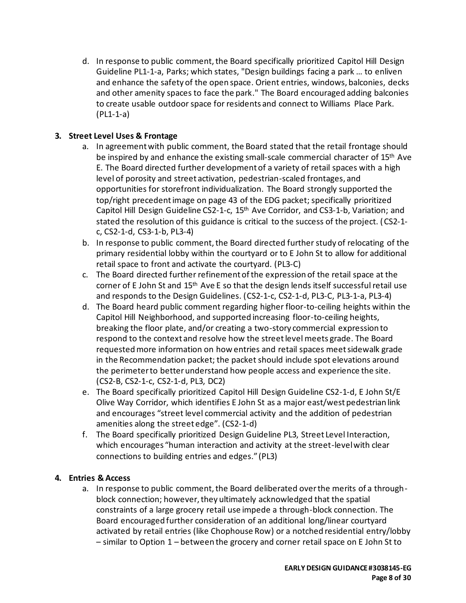d. In response to public comment, the Board specifically prioritized Capitol Hill Design Guideline PL1-1-a, Parks; which states, "Design buildings facing a park … to enliven and enhance the safety of the open space. Orient entries, windows, balconies, decks and other amenity spaces to face the park." The Board encouraged adding balconies to create usable outdoor space for residents and connect to Williams Place Park. (PL1-1-a)

# **3. Street Level Uses & Frontage**

- a. In agreement with public comment, the Board stated that the retail frontage should be inspired by and enhance the existing small-scale commercial character of  $15<sup>th</sup>$  Ave E. The Board directed further development of a variety of retail spaces with a high level of porosity and street activation, pedestrian-scaled frontages, and opportunities for storefront individualization. The Board strongly supported the top/right precedent image on page 43 of the EDG packet; specifically prioritized Capitol Hill Design Guideline CS2-1-c, 15th Ave Corridor, and CS3-1-b, Variation; and stated the resolution of this guidance is critical to the success of the project. (CS2-1 c, CS2-1-d, CS3-1-b, PL3-4)
- b. In response to public comment, the Board directed further study of relocating of the primary residential lobby within the courtyard or to E John St to allow for additional retail space to front and activate the courtyard. (PL3-C)
- c. The Board directed further refinement of the expression of the retail space at the corner of E John St and 15<sup>th</sup> Ave E so that the design lends itself successful retail use and responds to the Design Guidelines. (CS2-1-c, CS2-1-d, PL3-C, PL3-1-a, PL3-4)
- d. The Board heard public comment regarding higher floor-to-ceiling heights within the Capitol Hill Neighborhood, and supported increasing floor-to-ceiling heights, breaking the floor plate, and/or creating a two-story commercial expression to respond to the context and resolve how the street level meets grade. The Board requested more information on how entries and retail spaces meet sidewalk grade in the Recommendation packet; the packet should include spot elevations around the perimeter to better understand how people access and experience the site. (CS2-B, CS2-1-c, CS2-1-d, PL3, DC2)
- e. The Board specifically prioritized Capitol Hill Design Guideline CS2-1-d, E John St/E Olive Way Corridor, which identifies E John St as a major east/west pedestrian link and encourages "street level commercial activity and the addition of pedestrian amenities along the street edge". (CS2-1-d)
- f. The Board specifically prioritized Design Guideline PL3, Street Level Interaction, which encourages "human interaction and activity at the street-level with clear connections to building entries and edges." (PL3)

# **4. Entries & Access**

a. In response to public comment, the Board deliberated over the merits of a throughblock connection; however, they ultimately acknowledged that the spatial constraints of a large grocery retail use impede a through-block connection. The Board encouraged further consideration of an additional long/linear courtyard activated by retail entries (like Chophouse Row) or a notched residential entry/lobby – similar to Option 1 – between the grocery and corner retail space on E John St to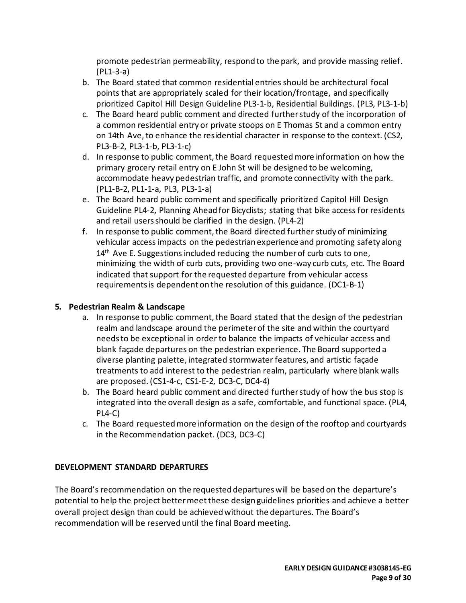promote pedestrian permeability, respond to the park, and provide massing relief. (PL1-3-a)

- b. The Board stated that common residential entries should be architectural focal points that are appropriately scaled for their location/frontage, and specifically prioritized Capitol Hill Design Guideline PL3-1-b, Residential Buildings. (PL3, PL3-1-b)
- c. The Board heard public comment and directed further study of the incorporation of a common residential entry or private stoops on E Thomas St and a common entry on 14th Ave, to enhance the residential character in response to the context. (CS2, PL3-B-2, PL3-1-b, PL3-1-c)
- d. In response to public comment, the Board requested more information on how the primary grocery retail entry on E John St will be designed to be welcoming, accommodate heavy pedestrian traffic, and promote connectivity with the park. (PL1-B-2, PL1-1-a, PL3, PL3-1-a)
- e. The Board heard public comment and specifically prioritized Capitol Hill Design Guideline PL4-2, Planning Ahead for Bicyclists; stating that bike access for residents and retail users should be clarified in the design. (PL4-2)
- f. In response to public comment, the Board directed further study of minimizing vehicular access impacts on the pedestrian experience and promoting safety along  $14<sup>th</sup>$  Ave E. Suggestions included reducing the number of curb cuts to one, minimizing the width of curb cuts, providing two one-way curb cuts, etc. The Board indicated that support for the requested departure from vehicular access requirements is dependent on the resolution of this guidance. (DC1-B-1)

# **5. Pedestrian Realm & Landscape**

- a. In response to public comment, the Board stated that the design of the pedestrian realm and landscape around the perimeter of the site and within the courtyard needs to be exceptional in order to balance the impacts of vehicular access and blank façade departures on the pedestrian experience. The Board supported a diverse planting palette, integrated stormwater features, and artistic façade treatments to add interest to the pedestrian realm, particularly where blank walls are proposed. (CS1-4-c, CS1-E-2, DC3-C, DC4-4)
- b. The Board heard public comment and directed further study of how the bus stop is integrated into the overall design as a safe, comfortable, and functional space. (PL4, PL4-C)
- c. The Board requested more information on the design of the rooftop and courtyards in the Recommendation packet. (DC3, DC3-C)

# **DEVELOPMENT STANDARD DEPARTURES**

The Board's recommendation on the requested departures will be based on the departure's potential to help the project better meet these design guidelines priorities and achieve a better overall project design than could be achieved without the departures. The Board's recommendation will be reserved until the final Board meeting.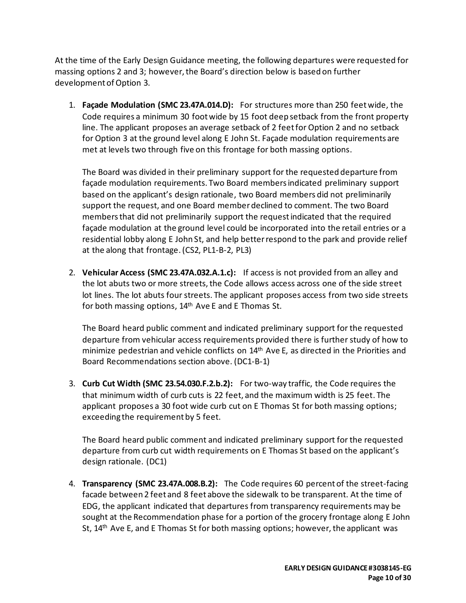At the time of the Early Design Guidance meeting, the following departures were requested for massing options 2 and 3; however, the Board's direction below is based on further development of Option 3.

1. **Façade Modulation (SMC 23.47A.014.D):** For structures more than 250 feet wide, the Code requires a minimum 30 foot wide by 15 foot deep setback from the front property line. The applicant proposes an average setback of 2 feet for Option 2 and no setback for Option 3 at the ground level along E John St. Façade modulation requirements are met at levels two through five on this frontage for both massing options.

The Board was divided in their preliminary support for the requested departure from façade modulation requirements. Two Board members indicated preliminary support based on the applicant's design rationale, two Board members did not preliminarily support the request, and one Board member declined to comment. The two Board members that did not preliminarily support the request indicated that the required façade modulation at the ground level could be incorporated into the retail entries or a residential lobby along E John St, and help better respond to the park and provide relief at the along that frontage. (CS2, PL1-B-2, PL3)

2. **Vehicular Access (SMC 23.47A.032.A.1.c):** If access is not provided from an alley and the lot abuts two or more streets, the Code allows access across one of the side street lot lines. The lot abuts four streets. The applicant proposes access from two side streets for both massing options, 14<sup>th</sup> Ave E and E Thomas St.

The Board heard public comment and indicated preliminary support for the requested departure from vehicular access requirements provided there is further study of how to minimize pedestrian and vehicle conflicts on 14th Ave E, as directed in the Priorities and Board Recommendations section above. (DC1-B-1)

3. **Curb Cut Width (SMC 23.54.030.F.2.b.2):** For two-way traffic, the Code requires the that minimum width of curb cuts is 22 feet, and the maximum width is 25 feet. The applicant proposes a 30 foot wide curb cut on E Thomas St for both massing options; exceeding the requirement by 5 feet.

The Board heard public comment and indicated preliminary support for the requested departure from curb cut width requirements on E Thomas St based on the applicant's design rationale. (DC1)

4. **Transparency (SMC 23.47A.008.B.2):** The Code requires 60 percent of the street-facing facade between 2 feet and 8 feet above the sidewalk to be transparent. At the time of EDG, the applicant indicated that departures from transparency requirements may be sought at the Recommendation phase for a portion of the grocery frontage along E John St,  $14<sup>th</sup>$  Ave E, and E Thomas St for both massing options; however, the applicant was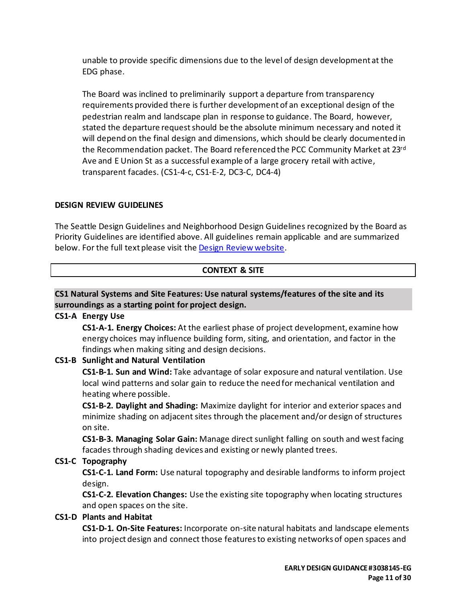unable to provide specific dimensions due to the level of design development at the EDG phase.

The Board was inclined to preliminarily support a departure from transparency requirements provided there is further development of an exceptional design of the pedestrian realm and landscape plan in response to guidance. The Board, however, stated the departure request should be the absolute minimum necessary and noted it will depend on the final design and dimensions, which should be clearly documented in the Recommendation packet. The Board referenced the PCC Community Market at 23<sup>rd</sup> Ave and E Union St as a successful example of a large grocery retail with active, transparent facades. (CS1-4-c, CS1-E-2, DC3-C, DC4-4)

### **DESIGN REVIEW GUIDELINES**

The Seattle Design Guidelines and Neighborhood Design Guidelines recognized by the Board as Priority Guidelines are identified above. All guidelines remain applicable and are summarized below. For the full text please visit the [Design Review website.](https://www.seattle.gov/dpd/aboutus/whoweare/designreview/designguidelines/default.htm)

# **CONTEXT & SITE**

# **CS1 Natural Systems and Site Features: Use natural systems/features of the site and its surroundings as a starting point for project design.**

# **CS1-A Energy Use**

**CS1-A-1. Energy Choices:** At the earliest phase of project development, examine how energy choices may influence building form, siting, and orientation, and factor in the findings when making siting and design decisions.

# **CS1-B Sunlight and Natural Ventilation**

**CS1-B-1. Sun and Wind:** Take advantage of solar exposure and natural ventilation. Use local wind patterns and solar gain to reduce the need for mechanical ventilation and heating where possible.

**CS1-B-2. Daylight and Shading:** Maximize daylight for interior and exterior spaces and minimize shading on adjacent sites through the placement and/or design of structures on site.

**CS1-B-3. Managing Solar Gain:** Manage direct sunlight falling on south and west facing facades through shading devices and existing or newly planted trees.

# **CS1-C Topography**

**CS1-C-1. Land Form:** Use natural topography and desirable landforms to inform project design.

**CS1-C-2. Elevation Changes:** Use the existing site topography when locating structures and open spaces on the site.

# **CS1-D Plants and Habitat**

**CS1-D-1. On-Site Features:** Incorporate on-site natural habitats and landscape elements into project design and connect those features to existing networks of open spaces and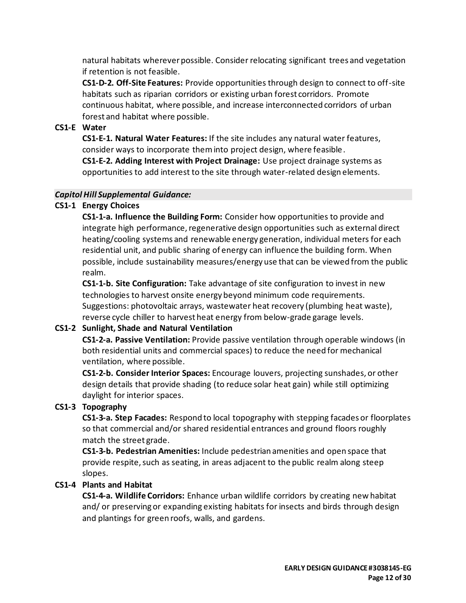natural habitats wherever possible. Consider relocating significant trees and vegetation if retention is not feasible.

**CS1-D-2. Off-Site Features:** Provide opportunities through design to connect to off-site habitats such as riparian corridors or existing urban forest corridors. Promote continuous habitat, where possible, and increase interconnected corridors of urban forest and habitat where possible.

# **CS1-E Water**

**CS1-E-1. Natural Water Features:** If the site includes any natural water features, consider ways to incorporate them into project design, where feasible.

**CS1-E-2. Adding Interest with Project Drainage:** Use project drainage systems as opportunities to add interest to the site through water-related design elements.

### *Capitol Hill Supplemental Guidance:*

# **CS1-1 Energy Choices**

**CS1-1-a. Influence the Building Form:** Consider how opportunities to provide and integrate high performance, regenerative design opportunities such as external direct heating/cooling systems and renewable energy generation, individual meters for each residential unit, and public sharing of energy can influence the building form. When possible, include sustainability measures/energy use that can be viewed from the public realm.

**CS1-1-b. Site Configuration:** Take advantage of site configuration to invest in new technologies to harvest onsite energy beyond minimum code requirements. Suggestions: photovoltaic arrays, wastewater heat recovery (plumbing heat waste), reverse cycle chiller to harvest heat energy from below-grade garage levels.

# **CS1-2 Sunlight, Shade and Natural Ventilation**

**CS1-2-a. Passive Ventilation:** Provide passive ventilation through operable windows (in both residential units and commercial spaces) to reduce the need for mechanical ventilation, where possible.

**CS1-2-b. Consider Interior Spaces:** Encourage louvers, projecting sunshades, or other design details that provide shading (to reduce solar heat gain) while still optimizing daylight for interior spaces.

# **CS1-3 Topography**

**CS1-3-a. Step Facades:** Respond to local topography with stepping facades or floorplates so that commercial and/or shared residential entrances and ground floors roughly match the street grade.

**CS1-3-b. Pedestrian Amenities:** Include pedestrian amenities and open space that provide respite, such as seating, in areas adjacent to the public realm along steep slopes.

# **CS1-4 Plants and Habitat**

**CS1-4-a. Wildlife Corridors:** Enhance urban wildlife corridors by creating new habitat and/ or preserving or expanding existing habitats for insects and birds through design and plantings for green roofs, walls, and gardens.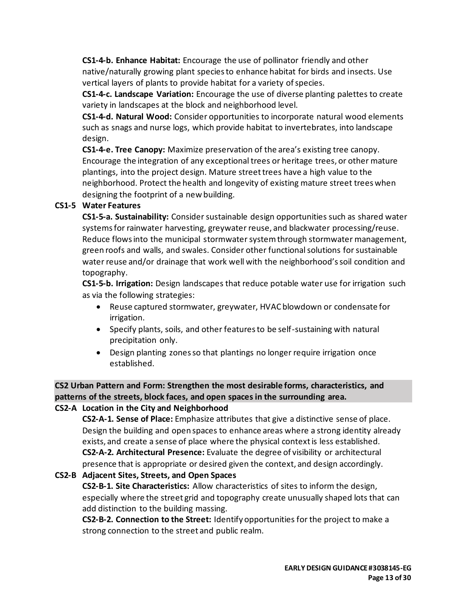**CS1-4-b. Enhance Habitat:** Encourage the use of pollinator friendly and other native/naturally growing plant species to enhance habitat for birds and insects. Use vertical layers of plants to provide habitat for a variety of species.

**CS1-4-c. Landscape Variation:** Encourage the use of diverse planting palettes to create variety in landscapes at the block and neighborhood level.

**CS1-4-d. Natural Wood:** Consider opportunities to incorporate natural wood elements such as snags and nurse logs, which provide habitat to invertebrates, into landscape design.

**CS1-4-e. Tree Canopy:** Maximize preservation of the area's existing tree canopy. Encourage the integration of any exceptional trees or heritage trees, or other mature plantings, into the project design. Mature street trees have a high value to the neighborhood. Protect the health and longevity of existing mature street trees when designing the footprint of a new building.

# **CS1-5 Water Features**

**CS1-5-a. Sustainability:** Consider sustainable design opportunities such as shared water systems for rainwater harvesting, greywater reuse, and blackwater processing/reuse. Reduce flows into the municipal stormwater system through stormwater management, green roofs and walls, and swales. Consider other functional solutions for sustainable water reuse and/or drainage that work well with the neighborhood's soil condition and topography.

**CS1-5-b. Irrigation:** Design landscapes that reduce potable water use for irrigation such as via the following strategies:

- Reuse captured stormwater, greywater, HVAC blowdown or condensate for irrigation.
- Specify plants, soils, and other features to be self-sustaining with natural precipitation only.
- Design planting zones so that plantings no longer require irrigation once established.

# **CS2 Urban Pattern and Form: Strengthen the most desirable forms, characteristics, and patterns of the streets, block faces, and open spaces in the surrounding area.**

# **CS2-A Location in the City and Neighborhood**

**CS2-A-1. Sense of Place:** Emphasize attributes that give a distinctive sense of place. Design the building and open spaces to enhance areas where a strong identity already exists, and create a sense of place where the physical context is less established. **CS2-A-2. Architectural Presence:** Evaluate the degree of visibility or architectural presence that is appropriate or desired given the context, and design accordingly.

# **CS2-B Adjacent Sites, Streets, and Open Spaces**

**CS2-B-1. Site Characteristics:** Allow characteristics of sites to inform the design, especially where the street grid and topography create unusually shaped lots that can add distinction to the building massing.

**CS2-B-2. Connection to the Street:** Identify opportunities for the project to make a strong connection to the street and public realm.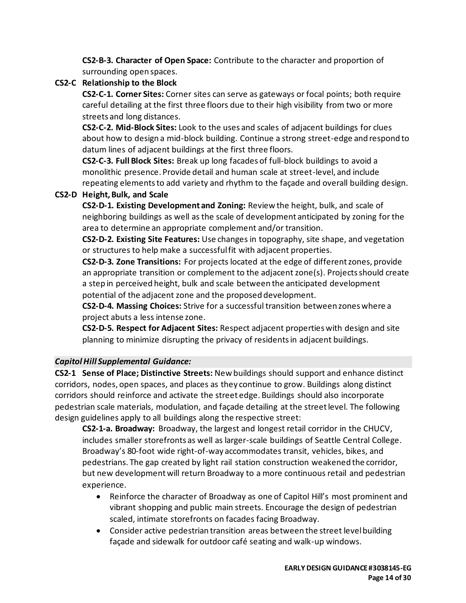**CS2-B-3. Character of Open Space:** Contribute to the character and proportion of surrounding open spaces.

# **CS2-C Relationship to the Block**

**CS2-C-1. Corner Sites:** Corner sites can serve as gateways or focal points; both require careful detailing at the first three floors due to their high visibility from two or more streets and long distances.

**CS2-C-2. Mid-Block Sites:** Look to the uses and scales of adjacent buildings for clues about how to design a mid-block building. Continue a strong street-edge and respond to datum lines of adjacent buildings at the first three floors.

**CS2-C-3. Full Block Sites:** Break up long facades of full-block buildings to avoid a monolithic presence. Provide detail and human scale at street-level, and include repeating elements to add variety and rhythm to the façade and overall building design.

# **CS2-D Height, Bulk, and Scale**

**CS2-D-1. Existing Development and Zoning:** Review the height, bulk, and scale of neighboring buildings as well as the scale of development anticipated by zoning for the area to determine an appropriate complement and/or transition.

**CS2-D-2. Existing Site Features:** Use changes in topography, site shape, and vegetation or structures to help make a successful fit with adjacent properties.

**CS2-D-3. Zone Transitions:** For projects located at the edge of different zones, provide an appropriate transition or complement to the adjacent zone(s). Projects should create a step in perceived height, bulk and scale between the anticipated development potential of the adjacent zone and the proposed development.

**CS2-D-4. Massing Choices:** Strive for a successful transition between zones where a project abuts a less intense zone.

**CS2-D-5. Respect for Adjacent Sites:** Respect adjacent properties with design and site planning to minimize disrupting the privacy of residents in adjacent buildings.

# *Capitol Hill Supplemental Guidance:*

**CS2-1 Sense of Place; Distinctive Streets:** New buildings should support and enhance distinct corridors, nodes, open spaces, and places as they continue to grow. Buildings along distinct corridors should reinforce and activate the street edge. Buildings should also incorporate pedestrian scale materials, modulation, and façade detailing at the street level. The following design guidelines apply to all buildings along the respective street:

**CS2-1-a. Broadway:** Broadway, the largest and longest retail corridor in the CHUCV, includes smaller storefronts as well as larger-scale buildings of Seattle Central College. Broadway's 80-foot wide right-of-way accommodates transit, vehicles, bikes, and pedestrians. The gap created by light rail station construction weakened the corridor, but new development will return Broadway to a more continuous retail and pedestrian experience.

- Reinforce the character of Broadway as one of Capitol Hill's most prominent and vibrant shopping and public main streets. Encourage the design of pedestrian scaled, intimate storefronts on facades facing Broadway.
- Consider active pedestrian transition areas between the street level building façade and sidewalk for outdoor café seating and walk-up windows.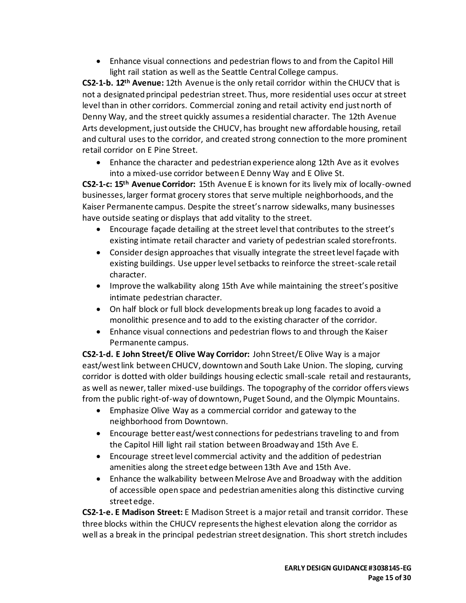• Enhance visual connections and pedestrian flows to and from the Capitol Hill light rail station as well as the Seattle Central College campus.

**CS2-1-b. 12th Avenue:** 12th Avenue is the only retail corridor within the CHUCV that is not a designated principal pedestrian street. Thus, more residential uses occur at street level than in other corridors. Commercial zoning and retail activity end just north of Denny Way, and the street quickly assumes a residential character. The 12th Avenue Arts development, just outside the CHUCV, has brought new affordable housing, retail and cultural uses to the corridor, and created strong connection to the more prominent retail corridor on E Pine Street.

• Enhance the character and pedestrian experience along 12th Ave as it evolves into a mixed-use corridor between E Denny Way and E Olive St.

**CS2-1-c: 15th Avenue Corridor:** 15th Avenue E is known for its lively mix of locally-owned businesses, larger format grocery stores that serve multiple neighborhoods, and the Kaiser Permanente campus. Despite the street's narrow sidewalks, many businesses have outside seating or displays that add vitality to the street.

- Encourage façade detailing at the street level that contributes to the street's existing intimate retail character and variety of pedestrian scaled storefronts.
- Consider design approaches that visually integrate the street level façade with existing buildings. Use upper level setbacks to reinforce the street-scale retail character.
- Improve the walkability along 15th Ave while maintaining the street's positive intimate pedestrian character.
- On half block or full block developments break up long facades to avoid a monolithic presence and to add to the existing character of the corridor.
- Enhance visual connections and pedestrian flows to and through the Kaiser Permanente campus.

**CS2-1-d. E John Street/E Olive Way Corridor:** John Street/E Olive Way is a major east/west link between CHUCV, downtown and South Lake Union. The sloping, curving corridor is dotted with older buildings housing eclectic small-scale retail and restaurants, as well as newer, taller mixed-use buildings. The topography of the corridor offers views from the public right-of-way of downtown, Puget Sound, and the Olympic Mountains.

- Emphasize Olive Way as a commercial corridor and gateway to the neighborhood from Downtown.
- Encourage better east/west connections for pedestrians traveling to and from the Capitol Hill light rail station between Broadway and 15th Ave E.
- Encourage street level commercial activity and the addition of pedestrian amenities along the street edge between 13th Ave and 15th Ave.
- Enhance the walkability between Melrose Ave and Broadway with the addition of accessible open space and pedestrian amenities along this distinctive curving street edge.

**CS2-1-e. E Madison Street:** E Madison Street is a major retail and transit corridor. These three blocks within the CHUCV represents the highest elevation along the corridor as well as a break in the principal pedestrian street designation. This short stretch includes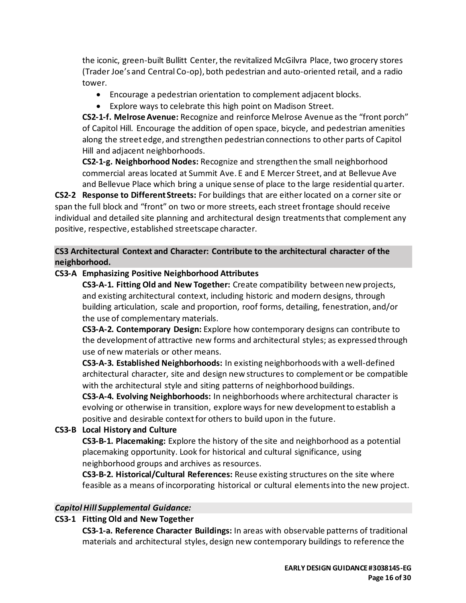the iconic, green-built Bullitt Center, the revitalized McGilvra Place, two grocery stores (Trader Joe's and Central Co-op), both pedestrian and auto-oriented retail, and a radio tower.

- Encourage a pedestrian orientation to complement adjacent blocks.
- Explore ways to celebrate this high point on Madison Street.

**CS2-1-f. Melrose Avenue:** Recognize and reinforce Melrose Avenue as the "front porch" of Capitol Hill. Encourage the addition of open space, bicycle, and pedestrian amenities along the street edge, and strengthen pedestrian connections to other parts of Capitol Hill and adjacent neighborhoods.

**CS2-1-g. Neighborhood Nodes:** Recognize and strengthen the small neighborhood commercial areas located at Summit Ave. E and E Mercer Street, and at Bellevue Ave and Bellevue Place which bring a unique sense of place to the large residential quarter.

**CS2-2 Response to Different Streets:** For buildings that are either located on a corner site or span the full block and "front" on two or more streets, each street frontage should receive individual and detailed site planning and architectural design treatments that complement any positive, respective, established streetscape character.

**CS3 Architectural Context and Character: Contribute to the architectural character of the neighborhood.**

# **CS3-A Emphasizing Positive Neighborhood Attributes**

**CS3-A-1. Fitting Old and New Together:** Create compatibility between new projects, and existing architectural context, including historic and modern designs, through building articulation, scale and proportion, roof forms, detailing, fenestration, and/or the use of complementary materials.

**CS3-A-2. Contemporary Design:** Explore how contemporary designs can contribute to the development of attractive new forms and architectural styles; as expressed through use of new materials or other means.

**CS3-A-3. Established Neighborhoods:** In existing neighborhoods with a well-defined architectural character, site and design new structures to complement or be compatible with the architectural style and siting patterns of neighborhood buildings.

**CS3-A-4. Evolving Neighborhoods:** In neighborhoods where architectural character is evolving or otherwise in transition, explore ways for new development to establish a positive and desirable context for others to build upon in the future.

# **CS3-B Local History and Culture**

**CS3-B-1. Placemaking:** Explore the history of the site and neighborhood as a potential placemaking opportunity. Look for historical and cultural significance, using neighborhood groups and archives as resources.

**CS3-B-2. Historical/Cultural References:** Reuse existing structures on the site where feasible as a means of incorporating historical or cultural elements into the new project.

# *Capitol Hill Supplemental Guidance:*

# **CS3-1 Fitting Old and New Together**

**CS3-1-a. Reference Character Buildings:** In areas with observable patterns of traditional materials and architectural styles, design new contemporary buildings to reference the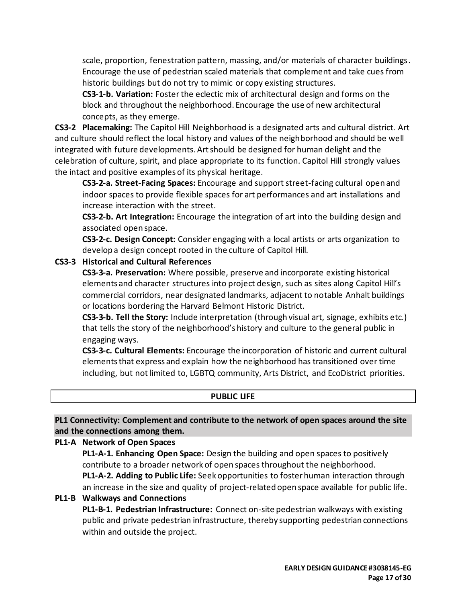scale, proportion, fenestration pattern, massing, and/or materials of character buildings. Encourage the use of pedestrian scaled materials that complement and take cues from historic buildings but do not try to mimic or copy existing structures.

**CS3-1-b. Variation:** Foster the eclectic mix of architectural design and forms on the block and throughout the neighborhood. Encourage the use of new architectural concepts, as they emerge.

**CS3-2 Placemaking:** The Capitol Hill Neighborhood is a designated arts and cultural district. Art and culture should reflect the local history and values of the neighborhood and should be well integrated with future developments. Art should be designed for human delight and the celebration of culture, spirit, and place appropriate to its function. Capitol Hill strongly values the intact and positive examples of its physical heritage.

**CS3-2-a. Street-Facing Spaces:** Encourage and support street-facing cultural open and indoor spaces to provide flexible spaces for art performances and art installations and increase interaction with the street.

**CS3-2-b. Art Integration:** Encourage the integration of art into the building design and associated open space.

**CS3-2-c. Design Concept:** Consider engaging with a local artists or arts organization to develop a design concept rooted in the culture of Capitol Hill.

# **CS3-3 Historical and Cultural References**

**CS3-3-a. Preservation:** Where possible, preserve and incorporate existing historical elements and character structures into project design, such as sites along Capitol Hill's commercial corridors, near designated landmarks, adjacent to notable Anhalt buildings or locations bordering the Harvard Belmont Historic District.

**CS3-3-b. Tell the Story:** Include interpretation (through visual art, signage, exhibits etc.) that tells the story of the neighborhood's history and culture to the general public in engaging ways.

**CS3-3-c. Cultural Elements:** Encourage the incorporation of historic and current cultural elements that express and explain how the neighborhood has transitioned over time including, but not limited to, LGBTQ community, Arts District, and EcoDistrict priorities.

# **PUBLIC LIFE**

**PL1 Connectivity: Complement and contribute to the network of open spaces around the site and the connections among them.**

# **PL1-A Network of Open Spaces**

**PL1-A-1. Enhancing Open Space:** Design the building and open spaces to positively contribute to a broader network of open spaces throughout the neighborhood. **PL1-A-2. Adding to Public Life:** Seek opportunities to foster human interaction through an increase in the size and quality of project-related open space available for public life.

#### **PL1-B Walkways and Connections**

**PL1-B-1. Pedestrian Infrastructure:** Connect on-site pedestrian walkways with existing public and private pedestrian infrastructure, thereby supporting pedestrian connections within and outside the project.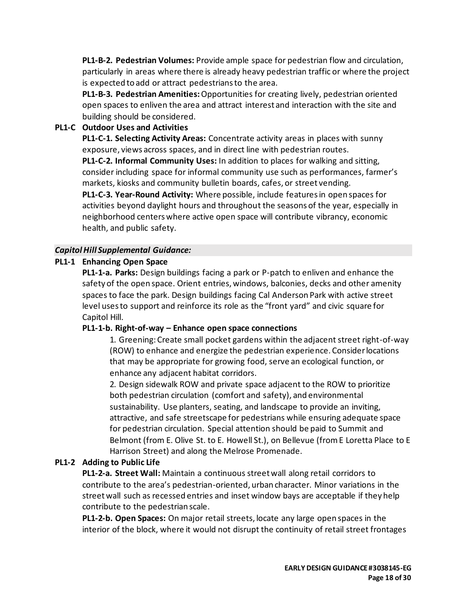**PL1-B-2. Pedestrian Volumes:** Provide ample space for pedestrian flow and circulation, particularly in areas where there is already heavy pedestrian traffic or where the project is expected to add or attract pedestrians to the area.

**PL1-B-3. Pedestrian Amenities:**Opportunities for creating lively, pedestrian oriented open spaces to enliven the area and attract interest and interaction with the site and building should be considered.

# **PL1-C Outdoor Uses and Activities**

**PL1-C-1. Selecting Activity Areas:** Concentrate activity areas in places with sunny exposure, views across spaces, and in direct line with pedestrian routes.

**PL1-C-2. Informal Community Uses:** In addition to places for walking and sitting, consider including space for informal community use such as performances, farmer's markets, kiosks and community bulletin boards, cafes, or street vending.

**PL1-C-3. Year-Round Activity:** Where possible, include features in open spaces for activities beyond daylight hours and throughout the seasons of the year, especially in neighborhood centers where active open space will contribute vibrancy, economic health, and public safety.

# *Capitol Hill Supplemental Guidance:*

# **PL1-1 Enhancing Open Space**

**PL1-1-a. Parks:** Design buildings facing a park or P-patch to enliven and enhance the safety of the open space. Orient entries, windows, balconies, decks and other amenity spaces to face the park. Design buildings facing Cal Anderson Park with active street level uses to support and reinforce its role as the "front yard" and civic square for Capitol Hill.

# **PL1-1-b. Right-of-way – Enhance open space connections**

1. Greening: Create small pocket gardens within the adjacent street right-of-way (ROW) to enhance and energize the pedestrian experience. Consider locations that may be appropriate for growing food, serve an ecological function, or enhance any adjacent habitat corridors.

2. Design sidewalk ROW and private space adjacent to the ROW to prioritize both pedestrian circulation (comfort and safety), and environmental sustainability. Use planters, seating, and landscape to provide an inviting, attractive, and safe streetscape for pedestrians while ensuring adequate space for pedestrian circulation. Special attention should be paid to Summit and Belmont (from E. Olive St. to E. Howell St.), on Bellevue (from E Loretta Place to E Harrison Street) and along the Melrose Promenade.

# **PL1-2 Adding to Public Life**

**PL1-2-a. Street Wall:** Maintain a continuous street wall along retail corridors to contribute to the area's pedestrian-oriented, urban character. Minor variations in the street wall such as recessed entries and inset window bays are acceptable if they help contribute to the pedestrian scale.

**PL1-2-b. Open Spaces:** On major retail streets, locate any large open spaces in the interior of the block, where it would not disrupt the continuity of retail street frontages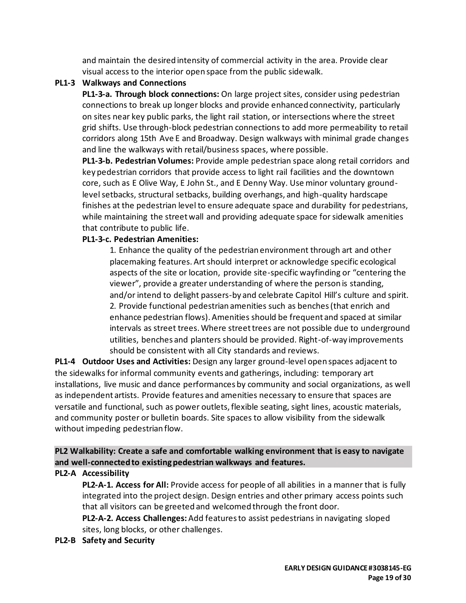and maintain the desired intensity of commercial activity in the area. Provide clear visual access to the interior open space from the public sidewalk.

# **PL1-3 Walkways and Connections**

**PL1-3-a. Through block connections:** On large project sites, consider using pedestrian connections to break up longer blocks and provide enhanced connectivity, particularly on sites near key public parks, the light rail station, or intersections where the street grid shifts. Use through-block pedestrian connections to add more permeability to retail corridors along 15th Ave E and Broadway. Design walkways with minimal grade changes and line the walkways with retail/business spaces, where possible.

**PL1-3-b. Pedestrian Volumes:** Provide ample pedestrian space along retail corridors and key pedestrian corridors that provide access to light rail facilities and the downtown core, such as E Olive Way, E John St., and E Denny Way. Use minor voluntary groundlevel setbacks, structural setbacks, building overhangs, and high-quality hardscape finishes at the pedestrian level to ensure adequate space and durability for pedestrians, while maintaining the street wall and providing adequate space for sidewalk amenities that contribute to public life.

# **PL1-3-c. Pedestrian Amenities:**

1. Enhance the quality of the pedestrian environment through art and other placemaking features. Art should interpret or acknowledge specific ecological aspects of the site or location, provide site-specific wayfinding or "centering the viewer", provide a greater understanding of where the person is standing, and/or intend to delight passers-by and celebrate Capitol Hill's culture and spirit. 2. Provide functional pedestrian amenities such as benches (that enrich and enhance pedestrian flows). Amenities should be frequent and spaced at similar intervals as street trees. Where street trees are not possible due to underground utilities, benches and planters should be provided. Right-of-way improvements should be consistent with all City standards and reviews.

**PL1-4 Outdoor Uses and Activities:** Design any larger ground-level open spaces adjacent to the sidewalks for informal community events and gatherings, including: temporary art installations, live music and dance performances by community and social organizations, as well as independent artists. Provide features and amenities necessary to ensure that spaces are versatile and functional, such as power outlets, flexible seating, sight lines, acoustic materials, and community poster or bulletin boards. Site spaces to allow visibility from the sidewalk without impeding pedestrian flow.

# **PL2 Walkability: Create a safe and comfortable walking environment that is easy to navigate and well-connected to existing pedestrian walkways and features.**

# **PL2-A Accessibility**

**PL2-A-1. Access for All:** Provide access for people of all abilities in a manner that is fully integrated into the project design. Design entries and other primary access points such that all visitors can be greeted and welcomed through the front door.

**PL2-A-2. Access Challenges:**Add features to assist pedestrians in navigating sloped sites, long blocks, or other challenges.

# **PL2-B Safety and Security**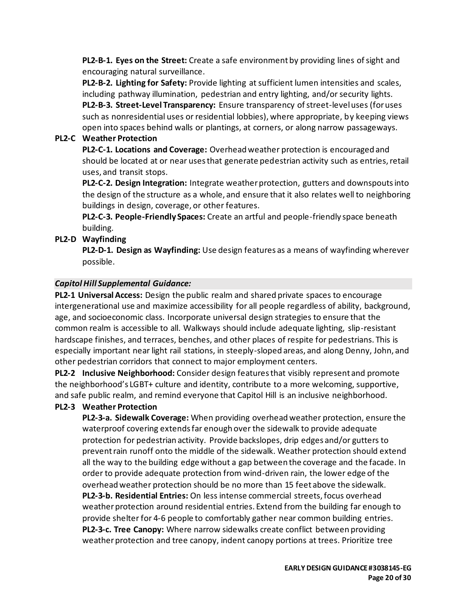**PL2-B-1. Eyes on the Street:** Create a safe environment by providing lines of sight and encouraging natural surveillance.

**PL2-B-2. Lighting for Safety:** Provide lighting at sufficient lumen intensities and scales, including pathway illumination, pedestrian and entry lighting, and/or security lights. **PL2-B-3. Street-Level Transparency:** Ensure transparency of street-level uses (for uses such as nonresidential uses or residential lobbies), where appropriate, by keeping views open into spaces behind walls or plantings, at corners, or along narrow passageways.

# **PL2-C Weather Protection**

**PL2-C-1. Locations and Coverage:** Overhead weather protection is encouraged and should be located at or near uses that generate pedestrian activity such as entries, retail uses, and transit stops.

**PL2-C-2. Design Integration:** Integrate weather protection, gutters and downspouts into the design of the structure as a whole, and ensure that it also relates well to neighboring buildings in design, coverage, or other features.

**PL2-C-3. People-Friendly Spaces:** Create an artful and people-friendly space beneath building.

# **PL2-D Wayfinding**

**PL2-D-1. Design as Wayfinding:** Use design features as a means of wayfinding wherever possible.

# *Capitol Hill Supplemental Guidance:*

**PL2-1 Universal Access:** Design the public realm and shared private spaces to encourage intergenerational use and maximize accessibility for all people regardless of ability, background, age, and socioeconomic class. Incorporate universal design strategies to ensure that the common realm is accessible to all. Walkways should include adequate lighting, slip-resistant hardscape finishes, and terraces, benches, and other places of respite for pedestrians. This is especially important near light rail stations, in steeply-sloped areas, and along Denny, John, and other pedestrian corridors that connect to major employment centers.

**PL2-2 Inclusive Neighborhood:** Consider design features that visibly represent and promote the neighborhood's LGBT+ culture and identity, contribute to a more welcoming, supportive, and safe public realm, and remind everyone that Capitol Hill is an inclusive neighborhood.

# **PL2-3 Weather Protection**

**PL2-3-a. Sidewalk Coverage:** When providing overhead weather protection, ensure the waterproof covering extends far enough over the sidewalk to provide adequate protection for pedestrian activity. Provide backslopes, drip edges and/or gutters to prevent rain runoff onto the middle of the sidewalk. Weather protection should extend all the way to the building edge without a gap between the coverage and the facade. In order to provide adequate protection from wind-driven rain, the lower edge of the overhead weather protection should be no more than 15 feet above the sidewalk. **PL2-3-b. Residential Entries:** On less intense commercial streets, focus overhead weather protection around residential entries. Extend from the building far enough to provide shelter for 4-6 people to comfortably gather near common building entries. **PL2-3-c. Tree Canopy:** Where narrow sidewalks create conflict between providing weather protection and tree canopy, indent canopy portions at trees. Prioritize tree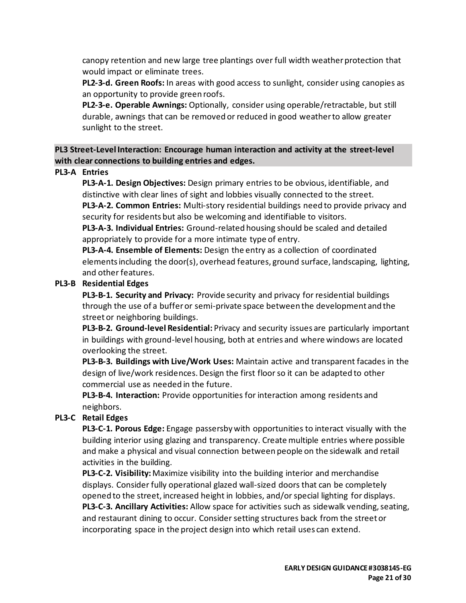canopy retention and new large tree plantings over full width weather protection that would impact or eliminate trees.

**PL2-3-d. Green Roofs:** In areas with good access to sunlight, consider using canopies as an opportunity to provide green roofs.

**PL2-3-e. Operable Awnings:** Optionally, consider using operable/retractable, but still durable, awnings that can be removed or reduced in good weather to allow greater sunlight to the street.

**PL3 Street-Level Interaction: Encourage human interaction and activity at the street-level with clear connections to building entries and edges.**

### **PL3-A Entries**

**PL3-A-1. Design Objectives:** Design primary entries to be obvious, identifiable, and distinctive with clear lines of sight and lobbies visually connected to the street. **PL3-A-2. Common Entries:** Multi-story residential buildings need to provide privacy and security for residents but also be welcoming and identifiable to visitors.

**PL3-A-3. Individual Entries:** Ground-related housing should be scaled and detailed appropriately to provide for a more intimate type of entry.

**PL3-A-4. Ensemble of Elements:** Design the entry as a collection of coordinated elements including the door(s), overhead features, ground surface, landscaping, lighting, and other features.

#### **PL3-B Residential Edges**

**PL3-B-1. Security and Privacy:** Provide security and privacy for residential buildings through the use of a buffer or semi-private space between the development and the street or neighboring buildings.

**PL3-B-2. Ground-level Residential:** Privacy and security issues are particularly important in buildings with ground-level housing, both at entries and where windows are located overlooking the street.

**PL3-B-3. Buildings with Live/Work Uses:** Maintain active and transparent facades in the design of live/work residences. Design the first floor so it can be adapted to other commercial use as needed in the future.

**PL3-B-4. Interaction:** Provide opportunities for interaction among residents and neighbors.

# **PL3-C Retail Edges**

**PL3-C-1. Porous Edge:** Engage passersby with opportunities to interact visually with the building interior using glazing and transparency. Create multiple entries where possible and make a physical and visual connection between people on the sidewalk and retail activities in the building.

**PL3-C-2. Visibility:**Maximize visibility into the building interior and merchandise displays. Consider fully operational glazed wall-sized doors that can be completely opened to the street, increased height in lobbies, and/or special lighting for displays.

**PL3-C-3. Ancillary Activities:** Allow space for activities such as sidewalk vending, seating, and restaurant dining to occur. Consider setting structures back from the street or incorporating space in the project design into which retail uses can extend.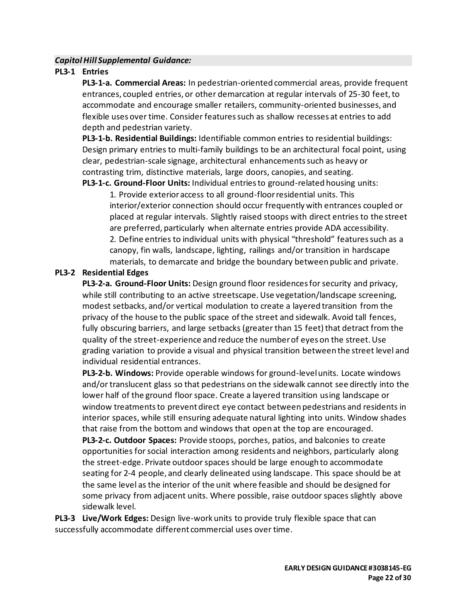### *Capitol Hill Supplemental Guidance:*

### **PL3-1 Entries**

**PL3-1-a. Commercial Areas:** In pedestrian-oriented commercial areas, provide frequent entrances, coupled entries, or other demarcation at regular intervals of 25-30 feet, to accommodate and encourage smaller retailers, community-oriented businesses, and flexible uses over time. Consider features such as shallow recesses at entries to add depth and pedestrian variety.

**PL3-1-b. Residential Buildings:** Identifiable common entries to residential buildings: Design primary entries to multi-family buildings to be an architectural focal point, using clear, pedestrian-scale signage, architectural enhancements such as heavy or contrasting trim, distinctive materials, large doors, canopies, and seating.

**PL3-1-c. Ground-Floor Units:** Individual entries to ground-related housing units:

1. Provide exterior access to all ground-floor residential units. This interior/exterior connection should occur frequently with entrances coupled or placed at regular intervals. Slightly raised stoops with direct entries to the street are preferred, particularly when alternate entries provide ADA accessibility. 2. Define entries to individual units with physical "threshold" features such as a canopy, fin walls, landscape, lighting, railings and/or transition in hardscape materials, to demarcate and bridge the boundary between public and private.

#### **PL3-2 Residential Edges**

**PL3-2-a. Ground-Floor Units:** Design ground floor residences for security and privacy, while still contributing to an active streetscape. Use vegetation/landscape screening, modest setbacks, and/or vertical modulation to create a layered transition from the privacy of the house to the public space of the street and sidewalk. Avoid tall fences, fully obscuring barriers, and large setbacks (greater than 15 feet) that detract from the quality of the street-experience and reduce the number of eyes on the street. Use grading variation to provide a visual and physical transition between the street level and individual residential entrances.

**PL3-2-b. Windows:** Provide operable windows for ground-level units. Locate windows and/or translucent glass so that pedestrians on the sidewalk cannot see directly into the lower half of the ground floor space. Create a layered transition using landscape or window treatments to prevent direct eye contact between pedestrians and residents in interior spaces, while still ensuring adequate natural lighting into units. Window shades that raise from the bottom and windows that open at the top are encouraged.

**PL3-2-c. Outdoor Spaces:** Provide stoops, porches, patios, and balconies to create opportunities for social interaction among residents and neighbors, particularly along the street-edge. Private outdoor spaces should be large enough to accommodate seating for 2-4 people, and clearly delineated using landscape. This space should be at the same level as the interior of the unit where feasible and should be designed for some privacy from adjacent units. Where possible, raise outdoor spaces slightly above sidewalk level.

**PL3-3 Live/Work Edges:** Design live-work units to provide truly flexible space that can successfully accommodate different commercial uses over time.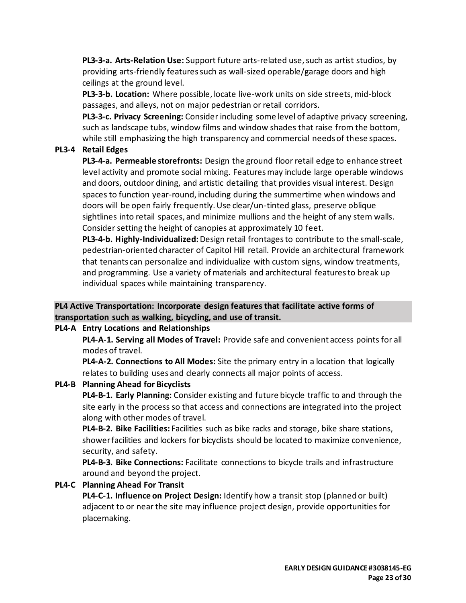**PL3-3-a. Arts-Relation Use:** Support future arts-related use, such as artist studios, by providing arts-friendly features such as wall-sized operable/garage doors and high ceilings at the ground level.

**PL3-3-b. Location:** Where possible, locate live-work units on side streets, mid-block passages, and alleys, not on major pedestrian or retail corridors.

**PL3-3-c. Privacy Screening:** Consider including some level of adaptive privacy screening, such as landscape tubs, window films and window shades that raise from the bottom, while still emphasizing the high transparency and commercial needs of these spaces.

# **PL3-4 Retail Edges**

**PL3-4-a. Permeable storefronts:** Design the ground floor retail edge to enhance street level activity and promote social mixing. Features may include large operable windows and doors, outdoor dining, and artistic detailing that provides visual interest. Design spaces to function year-round, including during the summertime when windows and doors will be open fairly frequently. Use clear/un-tinted glass, preserve oblique sightlines into retail spaces, and minimize mullions and the height of any stem walls. Consider setting the height of canopies at approximately 10 feet.

**PL3-4-b. Highly-Individualized:**Design retail frontages to contribute to the small-scale, pedestrian-oriented character of Capitol Hill retail. Provide an architectural framework that tenants can personalize and individualize with custom signs, window treatments, and programming. Use a variety of materials and architectural features to break up individual spaces while maintaining transparency.

# **PL4 Active Transportation: Incorporate design features that facilitate active forms of transportation such as walking, bicycling, and use of transit.**

# **PL4-A Entry Locations and Relationships**

**PL4-A-1. Serving all Modes of Travel:** Provide safe and convenient access points for all modes of travel.

**PL4-A-2. Connections to All Modes:** Site the primary entry in a location that logically relates to building uses and clearly connects all major points of access.

# **PL4-B Planning Ahead for Bicyclists**

**PL4-B-1. Early Planning:** Consider existing and future bicycle traffic to and through the site early in the process so that access and connections are integrated into the project along with other modes of travel.

**PL4-B-2. Bike Facilities:** Facilities such as bike racks and storage, bike share stations, shower facilities and lockers for bicyclists should be located to maximize convenience, security, and safety.

**PL4-B-3. Bike Connections:** Facilitate connections to bicycle trails and infrastructure around and beyond the project.

# **PL4-C Planning Ahead For Transit**

**PL4-C-1. Influence on Project Design:** Identify how a transit stop (planned or built) adjacent to or near the site may influence project design, provide opportunities for placemaking.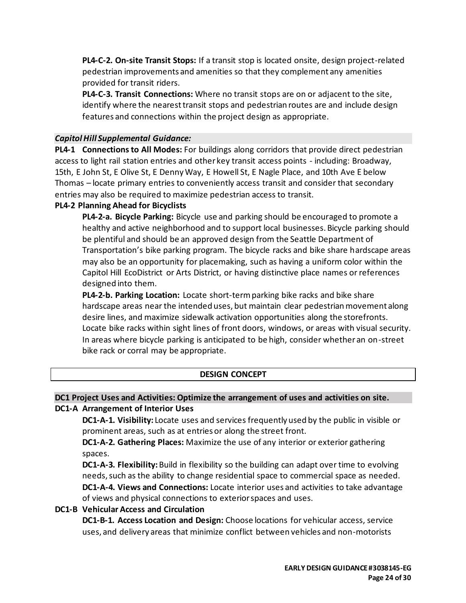**PL4-C-2. On-site Transit Stops:** If a transit stop is located onsite, design project-related pedestrian improvements and amenities so that they complement any amenities provided for transit riders.

**PL4-C-3. Transit Connections:** Where no transit stops are on or adjacent to the site, identify where the nearest transit stops and pedestrian routes are and include design features and connections within the project design as appropriate.

### *Capitol Hill Supplemental Guidance:*

**PL4-1 Connections to All Modes:** For buildings along corridors that provide direct pedestrian access to light rail station entries and other key transit access points - including: Broadway, 15th, E John St, E Olive St, E Denny Way, E Howell St, E Nagle Place, and 10th Ave E below Thomas – locate primary entries to conveniently access transit and consider that secondary entries may also be required to maximize pedestrian access to transit.

# **PL4-2 Planning Ahead for Bicyclists**

**PL4-2-a. Bicycle Parking:** Bicycle use and parking should be encouraged to promote a healthy and active neighborhood and to support local businesses. Bicycle parking should be plentiful and should be an approved design from the Seattle Department of Transportation's bike parking program. The bicycle racks and bike share hardscape areas may also be an opportunity for placemaking, such as having a uniform color within the Capitol Hill EcoDistrict or Arts District, or having distinctive place names or references designed into them.

**PL4-2-b. Parking Location:** Locate short-termparking bike racks and bike share hardscape areas near the intended uses, but maintain clear pedestrian movement along desire lines, and maximize sidewalk activation opportunities along the storefronts. Locate bike racks within sight lines of front doors, windows, or areas with visual security. In areas where bicycle parking is anticipated to be high, consider whether an on-street bike rack or corral may be appropriate.

# **DESIGN CONCEPT**

#### **DC1 Project Uses and Activities: Optimize the arrangement of uses and activities on site.**

#### **DC1-A Arrangement of Interior Uses**

**DC1-A-1. Visibility:** Locate uses and services frequently used by the public in visible or prominent areas, such as at entries or along the street front.

**DC1-A-2. Gathering Places:** Maximize the use of any interior or exterior gathering spaces.

**DC1-A-3. Flexibility:** Build in flexibility so the building can adapt over time to evolving needs, such as the ability to change residential space to commercial space as needed. **DC1-A-4. Views and Connections:** Locate interior uses and activities to take advantage of views and physical connections to exterior spaces and uses.

#### **DC1-B Vehicular Access and Circulation**

**DC1-B-1. Access Location and Design:** Choose locations for vehicular access, service uses, and delivery areas that minimize conflict between vehicles and non-motorists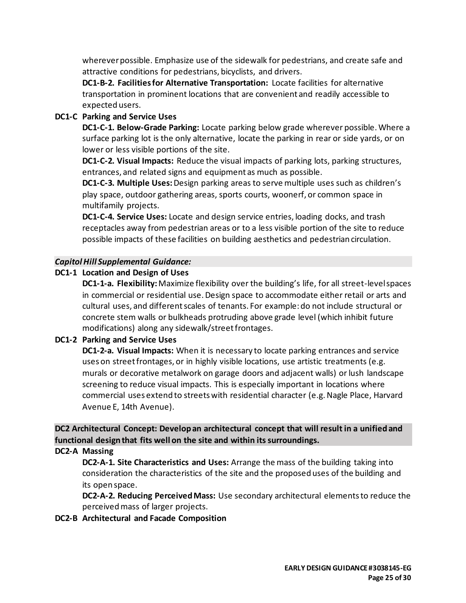wherever possible. Emphasize use of the sidewalk for pedestrians, and create safe and attractive conditions for pedestrians, bicyclists, and drivers.

**DC1-B-2. Facilities for Alternative Transportation:** Locate facilities for alternative transportation in prominent locations that are convenient and readily accessible to expected users.

# **DC1-C Parking and Service Uses**

**DC1-C-1. Below-Grade Parking:** Locate parking below grade wherever possible. Where a surface parking lot is the only alternative, locate the parking in rear or side yards, or on lower or less visible portions of the site.

**DC1-C-2. Visual Impacts:** Reduce the visual impacts of parking lots, parking structures, entrances, and related signs and equipment as much as possible.

**DC1-C-3. Multiple Uses:** Design parking areas to serve multiple uses such as children's play space, outdoor gathering areas, sports courts, woonerf, or common space in multifamily projects.

**DC1-C-4. Service Uses:** Locate and design service entries, loading docks, and trash receptacles away from pedestrian areas or to a less visible portion of the site to reduce possible impacts of these facilities on building aesthetics and pedestrian circulation.

# *Capitol Hill Supplemental Guidance:*

# **DC1-1 Location and Design of Uses**

**DC1-1-a. Flexibility:**Maximize flexibility over the building's life, for all street-level spaces in commercial or residential use. Design space to accommodate either retail or arts and cultural uses, and different scales of tenants. For example: do not include structural or concrete stem walls or bulkheads protruding above grade level (which inhibit future modifications) along any sidewalk/street frontages.

# **DC1-2 Parking and Service Uses**

**DC1-2-a. Visual Impacts:** When it is necessary to locate parking entrances and service uses on street frontages, or in highly visible locations, use artistic treatments (e.g. murals or decorative metalwork on garage doors and adjacent walls) or lush landscape screening to reduce visual impacts. This is especially important in locations where commercial uses extend to streets with residential character (e.g. Nagle Place, Harvard Avenue E, 14th Avenue).

**DC2 Architectural Concept: Develop an architectural concept that will result in a unified and functional design that fits well on the site and within its surroundings.**

#### **DC2-A Massing**

**DC2-A-1. Site Characteristics and Uses:** Arrange the mass of the building taking into consideration the characteristics of the site and the proposed uses of the building and its open space.

**DC2-A-2. Reducing Perceived Mass:** Use secondary architectural elements to reduce the perceived mass of larger projects.

#### **DC2-B Architectural and Facade Composition**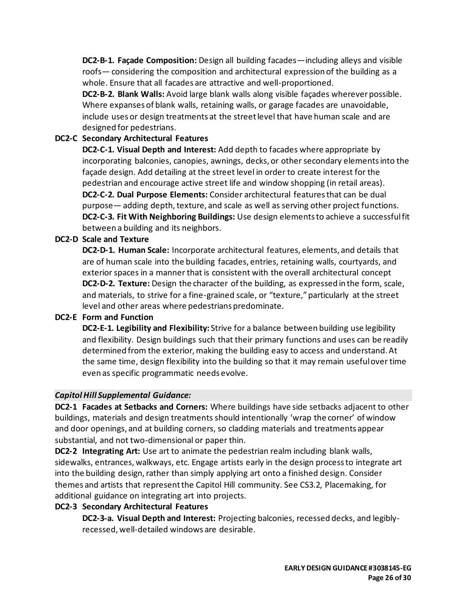**DC2-B-1. Façade Composition:** Design all building facades—including alleys and visible roofs— considering the composition and architectural expression of the building as a whole. Ensure that all facades are attractive and well-proportioned.

**DC2-B-2. Blank Walls:** Avoid large blank walls along visible façades wherever possible. Where expanses of blank walls, retaining walls, or garage facades are unavoidable, include uses or design treatments at the street level that have human scale and are designed for pedestrians.

# **DC2-C Secondary Architectural Features**

**DC2-C-1. Visual Depth and Interest:** Add depth to facades where appropriate by incorporating balconies, canopies, awnings, decks, or other secondary elements into the façade design. Add detailing at the street level in order to create interest for the pedestrian and encourage active street life and window shopping (in retail areas). **DC2-C-2. Dual Purpose Elements:** Consider architectural features that can be dual purpose— adding depth, texture, and scale as well as serving other project functions. **DC2-C-3. Fit With Neighboring Buildings:** Use design elements to achieve a successful fit between a building and its neighbors.

# **DC2-D Scale and Texture**

**DC2-D-1. Human Scale:** Incorporate architectural features, elements, and details that are of human scale into the building facades, entries, retaining walls, courtyards, and exterior spaces in a manner that is consistent with the overall architectural concept **DC2-D-2. Texture:** Design the character of the building, as expressed in the form, scale, and materials, to strive for a fine-grained scale, or "texture," particularly at the street level and other areas where pedestrians predominate.

# **DC2-E Form and Function**

**DC2-E-1. Legibility and Flexibility:** Strive for a balance between building use legibility and flexibility. Design buildings such that their primary functions and uses can be readily determined from the exterior, making the building easy to access and understand. At the same time, design flexibility into the building so that it may remain useful over time even as specific programmatic needs evolve.

# *Capitol Hill Supplemental Guidance:*

**DC2-1 Facades at Setbacks and Corners:** Where buildings have side setbacks adjacent to other buildings, materials and design treatments should intentionally 'wrap the corner' of window and door openings, and at building corners, so cladding materials and treatments appear substantial, and not two-dimensional or paper thin.

**DC2-2 Integrating Art:** Use art to animate the pedestrian realm including blank walls, sidewalks, entrances, walkways, etc. Engage artists early in the design process to integrate art into the building design, rather than simply applying art onto a finished design. Consider themes and artists that represent the Capitol Hill community. See CS3.2, Placemaking, for additional guidance on integrating art into projects.

# **DC2-3 Secondary Architectural Features**

**DC2-3-a. Visual Depth and Interest:** Projecting balconies, recessed decks, and legiblyrecessed, well-detailed windows are desirable.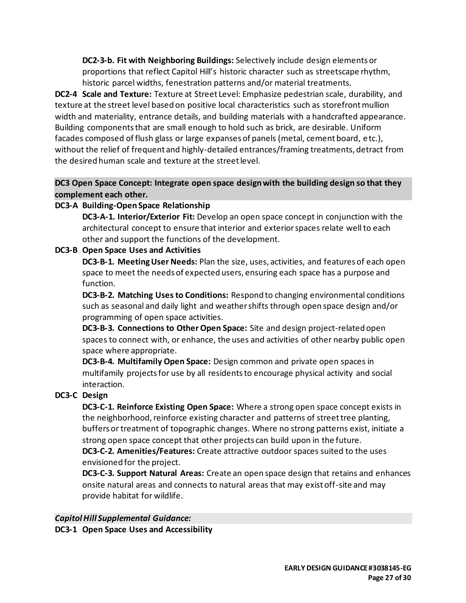**DC2-3-b. Fit with Neighboring Buildings:** Selectively include design elements or proportions that reflect Capitol Hill's historic character such as streetscape rhythm, historic parcel widths, fenestration patterns and/or material treatments.

**DC2-4 Scale and Texture:** Texture at Street Level: Emphasize pedestrian scale, durability, and texture at the street level based on positive local characteristics such as storefront mullion width and materiality, entrance details, and building materials with a handcrafted appearance. Building components that are small enough to hold such as brick, are desirable. Uniform facades composed of flush glass or large expanses of panels (metal, cement board, etc.), without the relief of frequent and highly-detailed entrances/framing treatments, detract from the desired human scale and texture at the street level.

# **DC3 Open Space Concept: Integrate open space design with the building design so that they complement each other.**

# **DC3-A Building-Open Space Relationship**

**DC3-A-1. Interior/Exterior Fit:** Develop an open space concept in conjunction with the architectural concept to ensure that interior and exterior spaces relate well to each other and support the functions of the development.

# **DC3-B Open Space Uses and Activities**

**DC3-B-1. Meeting User Needs:** Plan the size, uses, activities, and features of each open space to meet the needs of expected users, ensuring each space has a purpose and function.

**DC3-B-2. Matching Uses to Conditions:** Respond to changing environmental conditions such as seasonal and daily light and weather shifts through open space design and/or programming of open space activities.

**DC3-B-3. Connections to Other Open Space:** Site and design project-related open spaces to connect with, or enhance, the uses and activities of other nearby public open space where appropriate.

**DC3-B-4. Multifamily Open Space:** Design common and private open spaces in multifamily projects for use by all residents to encourage physical activity and social interaction.

# **DC3-C Design**

**DC3-C-1. Reinforce Existing Open Space:** Where a strong open space concept exists in the neighborhood, reinforce existing character and patterns of street tree planting, buffers or treatment of topographic changes. Where no strong patterns exist, initiate a strong open space concept that other projects can build upon in the future.

**DC3-C-2. Amenities/Features:** Create attractive outdoor spaces suited to the uses envisioned for the project.

**DC3-C-3. Support Natural Areas:** Create an open space design that retains and enhances onsite natural areas and connects to natural areas that may exist off-site and may provide habitat for wildlife.

# *Capitol Hill Supplemental Guidance:*

**DC3-1 Open Space Uses and Accessibility**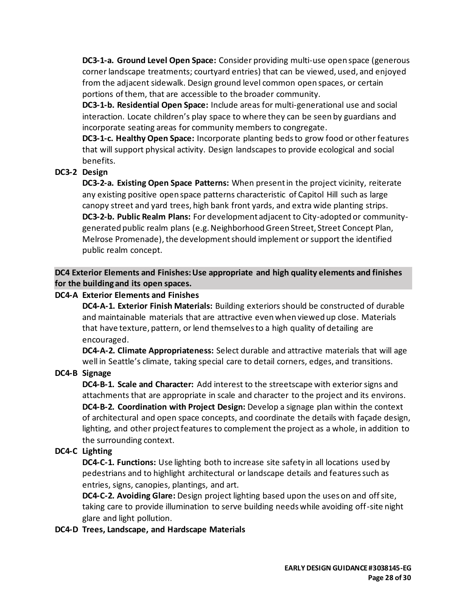**DC3-1-a. Ground Level Open Space:** Consider providing multi-use open space (generous corner landscape treatments; courtyard entries) that can be viewed, used, and enjoyed from the adjacent sidewalk. Design ground level common open spaces, or certain portions of them, that are accessible to the broader community.

**DC3-1-b. Residential Open Space:** Include areas for multi-generational use and social interaction. Locate children's play space to where they can be seen by guardians and incorporate seating areas for community members to congregate.

**DC3-1-c. Healthy Open Space:** Incorporate planting beds to grow food or other features that will support physical activity. Design landscapes to provide ecological and social benefits.

# **DC3-2 Design**

**DC3-2-a. Existing Open Space Patterns:** When present in the project vicinity, reiterate any existing positive open space patterns characteristic of Capitol Hill such as large canopy street and yard trees, high bank front yards, and extra wide planting strips. **DC3-2-b. Public Realm Plans:** For development adjacent to City-adopted or communitygenerated public realm plans (e.g. Neighborhood Green Street, Street Concept Plan, Melrose Promenade), the development should implement or support the identified public realm concept.

**DC4 Exterior Elements and Finishes: Use appropriate and high quality elements and finishes for the building and its open spaces.**

### **DC4-A Exterior Elements and Finishes**

**DC4-A-1. Exterior Finish Materials:** Building exteriors should be constructed of durable and maintainable materials that are attractive even when viewed up close. Materials that have texture, pattern, or lend themselves to a high quality of detailing are encouraged.

**DC4-A-2. Climate Appropriateness:** Select durable and attractive materials that will age well in Seattle's climate, taking special care to detail corners, edges, and transitions.

# **DC4-B Signage**

**DC4-B-1. Scale and Character:** Add interest to the streetscape with exterior signs and attachments that are appropriate in scale and character to the project and its environs. **DC4-B-2. Coordination with Project Design:** Develop a signage plan within the context of architectural and open space concepts, and coordinate the details with façade design, lighting, and other project features to complement the project as a whole, in addition to the surrounding context.

# **DC4-C Lighting**

**DC4-C-1. Functions:** Use lighting both to increase site safety in all locations used by pedestrians and to highlight architectural or landscape details and features such as entries, signs, canopies, plantings, and art.

**DC4-C-2. Avoiding Glare:** Design project lighting based upon the uses on and off site, taking care to provide illumination to serve building needs while avoiding off-site night glare and light pollution.

#### **DC4-D Trees, Landscape, and Hardscape Materials**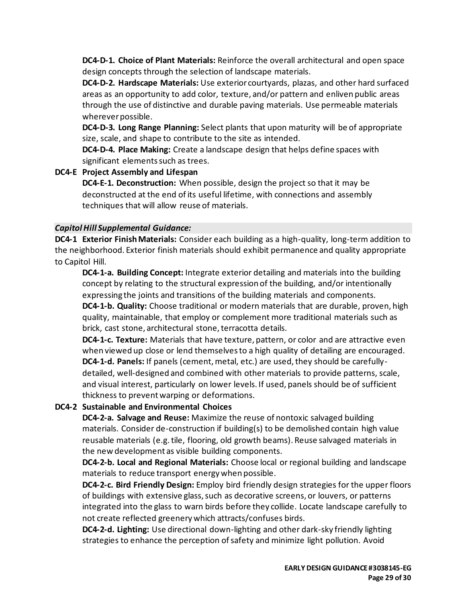**DC4-D-1. Choice of Plant Materials:** Reinforce the overall architectural and open space design concepts through the selection of landscape materials.

**DC4-D-2. Hardscape Materials:** Use exterior courtyards, plazas, and other hard surfaced areas as an opportunity to add color, texture, and/or pattern and enliven public areas through the use of distinctive and durable paving materials. Use permeable materials wherever possible.

**DC4-D-3. Long Range Planning:** Select plants that upon maturity will be of appropriate size, scale, and shape to contribute to the site as intended.

**DC4-D-4. Place Making:** Create a landscape design that helps define spaces with significant elements such as trees.

**DC4-E Project Assembly and Lifespan DC4-E-1. Deconstruction:** When possible, design the project so that it may be deconstructed at the end of its useful lifetime, with connections and assembly techniques that will allow reuse of materials.

# *Capitol Hill Supplemental Guidance:*

**DC4-1 Exterior Finish Materials:** Consider each building as a high-quality, long-term addition to the neighborhood. Exterior finish materials should exhibit permanence and quality appropriate to Capitol Hill.

**DC4-1-a. Building Concept:** Integrate exterior detailing and materials into the building concept by relating to the structural expression of the building, and/or intentionally expressing the joints and transitions of the building materials and components. **DC4-1-b. Quality:** Choose traditional or modern materials that are durable, proven, high

quality, maintainable, that employ or complement more traditional materials such as brick, cast stone, architectural stone, terracotta details.

**DC4-1-c. Texture:** Materials that have texture, pattern, or color and are attractive even when viewed up close or lend themselves to a high quality of detailing are encouraged. **DC4-1-d. Panels:** If panels (cement, metal, etc.) are used, they should be carefullydetailed, well-designed and combined with other materials to provide patterns, scale, and visual interest, particularly on lower levels. If used, panels should be of sufficient thickness to prevent warping or deformations.

# **DC4-2 Sustainable and Environmental Choices**

**DC4-2-a. Salvage and Reuse:** Maximize the reuse of nontoxic salvaged building materials. Consider de-construction if building(s) to be demolished contain high value reusable materials (e.g. tile, flooring, old growth beams). Reuse salvaged materials in the new development as visible building components.

**DC4-2-b. Local and Regional Materials:** Choose local or regional building and landscape materials to reduce transport energy when possible.

**DC4-2-c. Bird Friendly Design:** Employ bird friendly design strategies for the upper floors of buildings with extensive glass, such as decorative screens, or louvers, or patterns integrated into the glass to warn birds before they collide. Locate landscape carefully to not create reflected greenery which attracts/confuses birds.

**DC4-2-d. Lighting:** Use directional down-lighting and other dark-sky friendly lighting strategies to enhance the perception of safety and minimize light pollution. Avoid